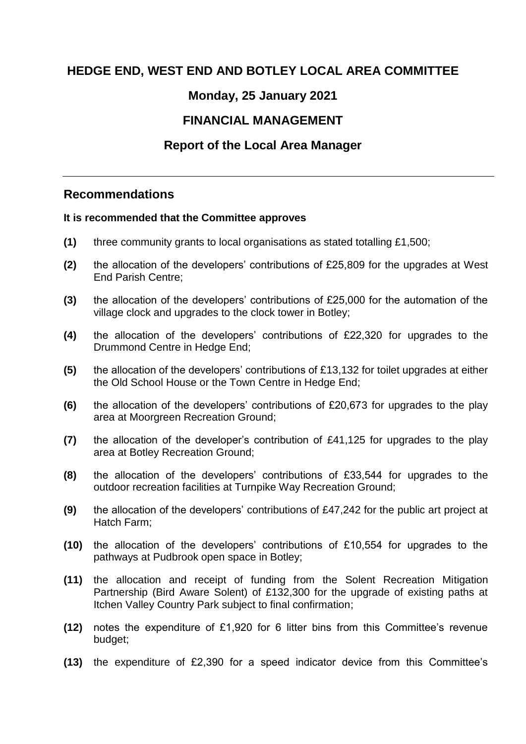## **HEDGE END, WEST END AND BOTLEY LOCAL AREA COMMITTEE**

## **Monday, 25 January 2021**

# **FINANCIAL MANAGEMENT**

## **Report of the [Local Area Manager](#page-0-0)**

## <span id="page-0-0"></span>**Recommendations**

#### <span id="page-0-1"></span>**[It is recommended that t](#page-0-1)he Committee approves**

- **(1)** three community grants to local organisations as stated totalling £1,500;
- **(2)** the allocation of the developers' contributions of £25,809 for the upgrades at West End Parish Centre;
- **(3)** the allocation of the developers' contributions of £25,000 for the automation of the village clock and upgrades to the clock tower in Botley;
- **(4)** the allocation of the developers' contributions of £22,320 for upgrades to the Drummond Centre in Hedge End;
- **(5)** the allocation of the developers' contributions of £13,132 for toilet upgrades at either the Old School House or the Town Centre in Hedge End;
- **(6)** the allocation of the developers' contributions of £20,673 for upgrades to the play area at Moorgreen Recreation Ground;
- **(7)** the allocation of the developer's contribution of £41,125 for upgrades to the play area at Botley Recreation Ground;
- **(8)** the allocation of the developers' contributions of £33,544 for upgrades to the outdoor recreation facilities at Turnpike Way Recreation Ground;
- **(9)** the allocation of the developers' contributions of £47,242 for the public art project at Hatch Farm;
- **(10)** the allocation of the developers' contributions of £10,554 for upgrades to the pathways at Pudbrook open space in Botley;
- **(11)** the allocation and receipt of funding from the Solent Recreation Mitigation Partnership (Bird Aware Solent) of £132,300 for the upgrade of existing paths at Itchen Valley Country Park subject to final confirmation;
- **(12)** notes the expenditure of £1,920 for 6 litter bins from this Committee's revenue budget;
- **(13)** the expenditure of £2,390 for a speed indicator device from this Committee's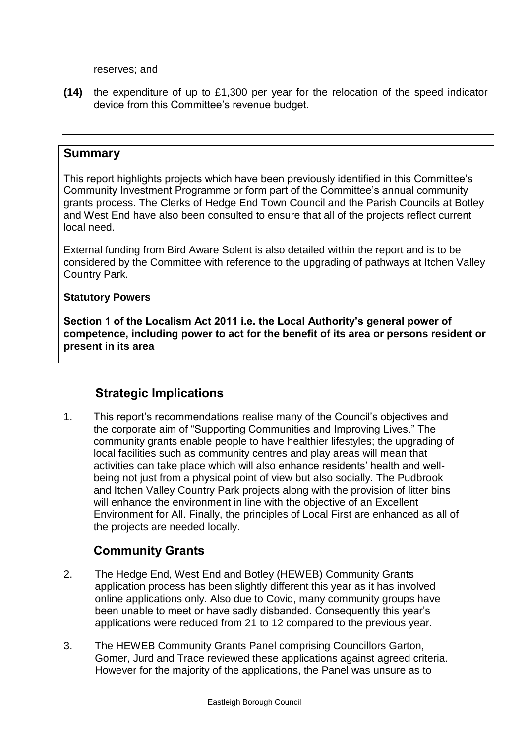reserves; and

**(14)** the expenditure of up to £1,300 per year for the relocation of the speed indicator device from this Committee's revenue budget.

#### <span id="page-1-0"></span>**[Summary](#page-1-0)**

This report highlights projects which have been previously identified in this Committee's Community Investment Programme or form part of the Committee's annual community grants process. The Clerks of Hedge End Town Council and the Parish Councils at Botley and West End have also been consulted to ensure that all of the projects reflect current local need.

External funding from Bird Aware Solent is also detailed within the report and is to be considered by the Committee with reference to the upgrading of pathways at Itchen Valley Country Park.

#### <span id="page-1-1"></span>**[Statutory Powers](#page-1-1)**

**Section 1 of the Localism Act 2011 i.e. the Local Authority's general power of competence, including power to act for the benefit of its area or persons resident or present in its area**

## **Strategic Implications**

1. This report's recommendations realise many of the Council's objectives and the corporate aim of "Supporting Communities and Improving Lives." The community grants enable people to have healthier lifestyles; the upgrading of local facilities such as community centres and play areas will mean that activities can take place which will also enhance residents' health and wellbeing not just from a physical point of view but also socially. The Pudbrook and Itchen Valley Country Park projects along with the provision of litter bins will enhance the environment in line with the objective of an Excellent Environment for All. Finally, the principles of Local First are enhanced as all of the projects are needed locally.

## **Community Grants**

- 2. The Hedge End, West End and Botley (HEWEB) Community Grants application process has been slightly different this year as it has involved online applications only. Also due to Covid, many community groups have been unable to meet or have sadly disbanded. Consequently this year's applications were reduced from 21 to 12 compared to the previous year.
- 3. The HEWEB Community Grants Panel comprising Councillors Garton, Gomer, Jurd and Trace reviewed these applications against agreed criteria. However for the majority of the applications, the Panel was unsure as to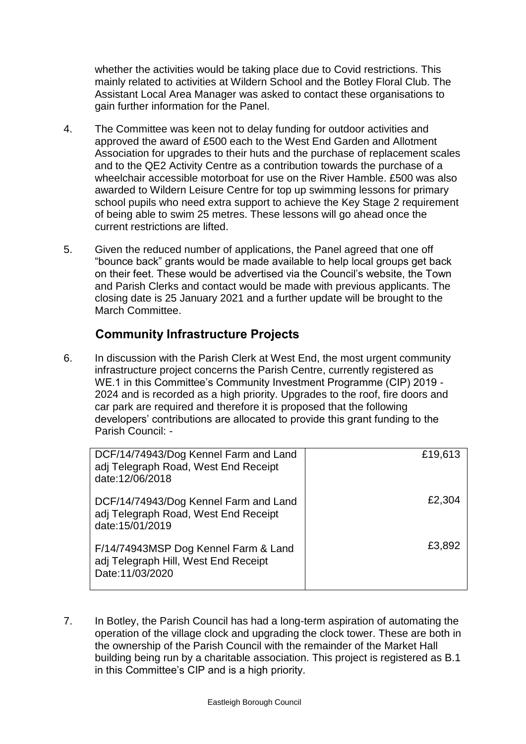whether the activities would be taking place due to Covid restrictions. This mainly related to activities at Wildern School and the Botley Floral Club. The Assistant Local Area Manager was asked to contact these organisations to gain further information for the Panel.

- 4. The Committee was keen not to delay funding for outdoor activities and approved the award of £500 each to the West End Garden and Allotment Association for upgrades to their huts and the purchase of replacement scales and to the QE2 Activity Centre as a contribution towards the purchase of a wheelchair accessible motorboat for use on the River Hamble. £500 was also awarded to Wildern Leisure Centre for top up swimming lessons for primary school pupils who need extra support to achieve the Key Stage 2 requirement of being able to swim 25 metres. These lessons will go ahead once the current restrictions are lifted.
- 5. Given the reduced number of applications, the Panel agreed that one off "bounce back" grants would be made available to help local groups get back on their feet. These would be advertised via the Council's website, the Town and Parish Clerks and contact would be made with previous applicants. The closing date is 25 January 2021 and a further update will be brought to the March Committee.

## **Community Infrastructure Projects**

6. In discussion with the Parish Clerk at West End, the most urgent community infrastructure project concerns the Parish Centre, currently registered as WE.1 in this Committee's Community Investment Programme (CIP) 2019 - 2024 and is recorded as a high priority. Upgrades to the roof, fire doors and car park are required and therefore it is proposed that the following developers' contributions are allocated to provide this grant funding to the Parish Council: -

| DCF/14/74943/Dog Kennel Farm and Land<br>adj Telegraph Road, West End Receipt<br>date:12/06/2018 | £19,613 |
|--------------------------------------------------------------------------------------------------|---------|
| DCF/14/74943/Dog Kennel Farm and Land<br>adj Telegraph Road, West End Receipt<br>date:15/01/2019 | £2,304  |
| F/14/74943MSP Dog Kennel Farm & Land<br>adj Telegraph Hill, West End Receipt<br>Date:11/03/2020  | £3,892  |

<span id="page-2-0"></span>7. In Botley, the Parish Council has had a long-term aspiration of automating the operation of the village clock and upgrading the clock tower. These are both in the ownership of the Parish Council with the remainder of the Market Hall building being run by a charitable association. This project is registered as B.1 in this Committee's CIP and is a high priority[.](#page-2-0)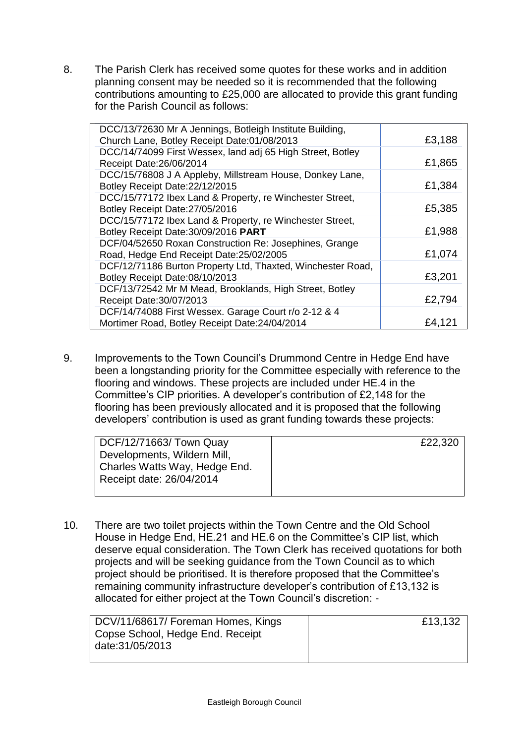8. The Parish Clerk has received some quotes for these works and in addition planning consent may be needed so it is recommended that the following contributions amounting to £25,000 are allocated to provide this grant funding for the Parish Council as follows:

| DCC/13/72630 Mr A Jennings, Botleigh Institute Building,<br>Church Lane, Botley Receipt Date:01/08/2013 | £3,188 |
|---------------------------------------------------------------------------------------------------------|--------|
| DCC/14/74099 First Wessex, land adj 65 High Street, Botley                                              |        |
| Receipt Date: 26/06/2014                                                                                | £1,865 |
| DCC/15/76808 J A Appleby, Millstream House, Donkey Lane,                                                |        |
| Botley Receipt Date: 22/12/2015                                                                         | £1,384 |
| DCC/15/77172 Ibex Land & Property, re Winchester Street,                                                |        |
| Botley Receipt Date: 27/05/2016                                                                         | £5,385 |
| DCC/15/77172 Ibex Land & Property, re Winchester Street,                                                |        |
| Botley Receipt Date: 30/09/2016 PART                                                                    | £1,988 |
| DCF/04/52650 Roxan Construction Re: Josephines, Grange                                                  |        |
| Road, Hedge End Receipt Date:25/02/2005                                                                 | £1,074 |
| DCF/12/71186 Burton Property Ltd, Thaxted, Winchester Road,                                             |        |
| Botley Receipt Date:08/10/2013                                                                          | £3,201 |
| DCF/13/72542 Mr M Mead, Brooklands, High Street, Botley                                                 |        |
| Receipt Date: 30/07/2013                                                                                | £2,794 |
| DCF/14/74088 First Wessex. Garage Court r/o 2-12 & 4                                                    |        |
| Mortimer Road, Botley Receipt Date: 24/04/2014                                                          | £4,121 |

9. Improvements to the Town Council's Drummond Centre in Hedge End have been a longstanding priority for the Committee especially with reference to the flooring and windows. These projects are included under HE.4 in the Committee's CIP priorities. A developer's contribution of £2,148 for the flooring has been previously allocated and it is proposed that the following developers' contribution is used as grant funding towards these projects:

| DCF/12/71663/ Town Quay       | £22,320 |
|-------------------------------|---------|
| Developments, Wildern Mill,   |         |
| Charles Watts Way, Hedge End. |         |
| Receipt date: 26/04/2014      |         |
|                               |         |

10. There are two toilet projects within the Town Centre and the Old School House in Hedge End, HE.21 and HE.6 on the Committee's CIP list, which deserve equal consideration. The Town Clerk has received quotations for both projects and will be seeking guidance from the Town Council as to which project should be prioritised. It is therefore proposed that the Committee's remaining community infrastructure developer's contribution of £13,132 is allocated for either project at the Town Council's discretion: -

| DCV/11/68617/ Foreman Homes, Kings | £13,132 |
|------------------------------------|---------|
| Copse School, Hedge End. Receipt   |         |
| date:31/05/2013                    |         |
|                                    |         |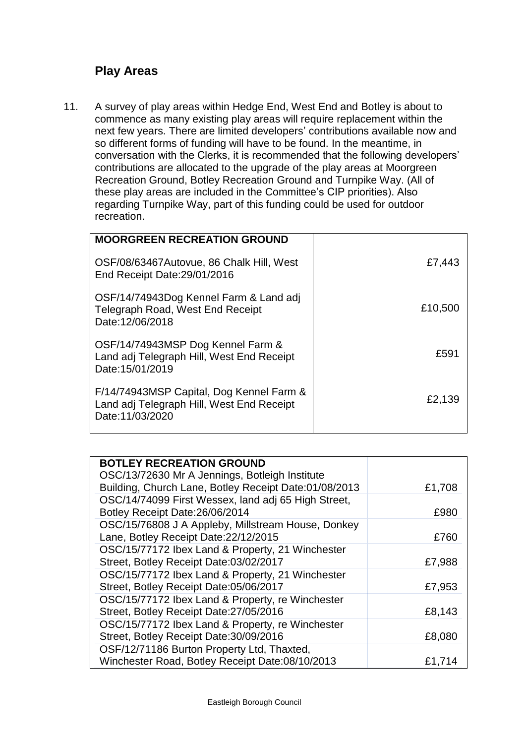## **Play Areas**

11. A survey of play areas within Hedge End, West End and Botley is about to commence as many existing play areas will require replacement within the next few years. There are limited developers' contributions available now and so different forms of funding will have to be found. In the meantime, in conversation with the Clerks, it is recommended that the following developers' contributions are allocated to the upgrade of the play areas at Moorgreen Recreation Ground, Botley Recreation Ground and Turnpike Way. (All of these play areas are included in the Committee's CIP priorities). Also regarding Turnpike Way, part of this funding could be used for outdoor recreation.

| <b>MOORGREEN RECREATION GROUND</b>                                                                       |         |
|----------------------------------------------------------------------------------------------------------|---------|
| OSF/08/63467Autovue, 86 Chalk Hill, West<br>End Receipt Date: 29/01/2016                                 | £7,443  |
| OSF/14/74943Dog Kennel Farm & Land adj<br>Telegraph Road, West End Receipt<br>Date:12/06/2018            | £10,500 |
| OSF/14/74943MSP Dog Kennel Farm &<br>Land adj Telegraph Hill, West End Receipt<br>Date: 15/01/2019       | £591    |
| F/14/74943MSP Capital, Dog Kennel Farm &<br>Land adj Telegraph Hill, West End Receipt<br>Date:11/03/2020 | £2,139  |

| <b>BOTLEY RECREATION GROUND</b>                       |        |
|-------------------------------------------------------|--------|
| OSC/13/72630 Mr A Jennings, Botleigh Institute        |        |
| Building, Church Lane, Botley Receipt Date:01/08/2013 | £1,708 |
| OSC/14/74099 First Wessex, land adj 65 High Street,   |        |
| Botley Receipt Date: 26/06/2014                       | £980   |
| OSC/15/76808 J A Appleby, Millstream House, Donkey    |        |
| Lane, Botley Receipt Date: 22/12/2015                 | £760   |
| OSC/15/77172 Ibex Land & Property, 21 Winchester      |        |
| Street, Botley Receipt Date:03/02/2017                | £7,988 |
| OSC/15/77172 Ibex Land & Property, 21 Winchester      |        |
| Street, Botley Receipt Date:05/06/2017                | £7,953 |
| OSC/15/77172 Ibex Land & Property, re Winchester      |        |
| Street, Botley Receipt Date: 27/05/2016               | £8,143 |
| OSC/15/77172 Ibex Land & Property, re Winchester      |        |
| Street, Botley Receipt Date: 30/09/2016               | £8,080 |
| OSF/12/71186 Burton Property Ltd, Thaxted,            |        |
| Winchester Road, Botley Receipt Date:08/10/2013       | £1,714 |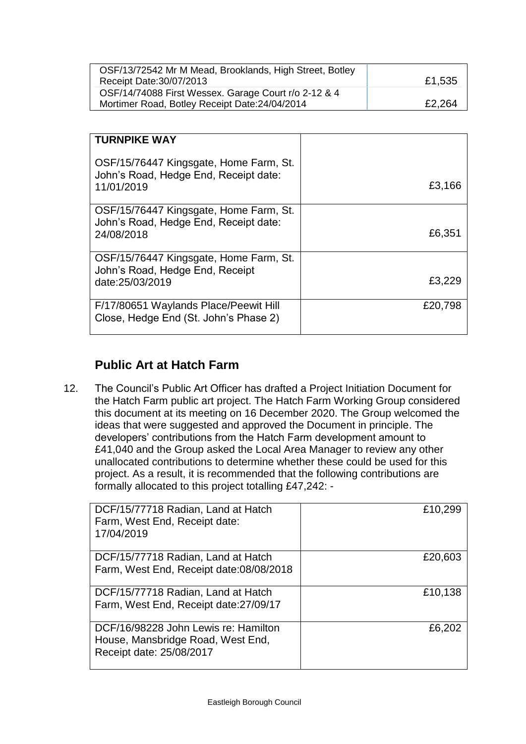| OSF/13/72542 Mr M Mead, Brooklands, High Street, Botley<br>Receipt Date: 30/07/2013                    | £1,535 |
|--------------------------------------------------------------------------------------------------------|--------|
| OSF/14/74088 First Wessex. Garage Court r/o 2-12 & 4<br>Mortimer Road, Botley Receipt Date: 24/04/2014 | £2,264 |

| <b>TURNPIKE WAY</b>                                                                           |         |
|-----------------------------------------------------------------------------------------------|---------|
| OSF/15/76447 Kingsgate, Home Farm, St.<br>John's Road, Hedge End, Receipt date:<br>11/01/2019 | £3,166  |
| OSF/15/76447 Kingsgate, Home Farm, St.<br>John's Road, Hedge End, Receipt date:<br>24/08/2018 | £6,351  |
| OSF/15/76447 Kingsgate, Home Farm, St.<br>John's Road, Hedge End, Receipt<br>date:25/03/2019  | £3,229  |
| F/17/80651 Waylands Place/Peewit Hill<br>Close, Hedge End (St. John's Phase 2)                | £20,798 |

# **Public Art at Hatch Farm**

12. The Council's Public Art Officer has drafted a Project Initiation Document for the Hatch Farm public art project. The Hatch Farm Working Group considered this document at its meeting on 16 December 2020. The Group welcomed the ideas that were suggested and approved the Document in principle. The developers' contributions from the Hatch Farm development amount to £41,040 and the Group asked the Local Area Manager to review any other unallocated contributions to determine whether these could be used for this project. As a result, it is recommended that the following contributions are formally allocated to this project totalling £47,242: -

| DCF/15/77718 Radian, Land at Hatch<br>Farm, West End, Receipt date:<br>17/04/2019                     | £10,299 |
|-------------------------------------------------------------------------------------------------------|---------|
| DCF/15/77718 Radian, Land at Hatch<br>Farm, West End, Receipt date:08/08/2018                         | £20,603 |
| DCF/15/77718 Radian, Land at Hatch<br>Farm, West End, Receipt date: 27/09/17                          | £10,138 |
| DCF/16/98228 John Lewis re: Hamilton<br>House, Mansbridge Road, West End,<br>Receipt date: 25/08/2017 | £6,202  |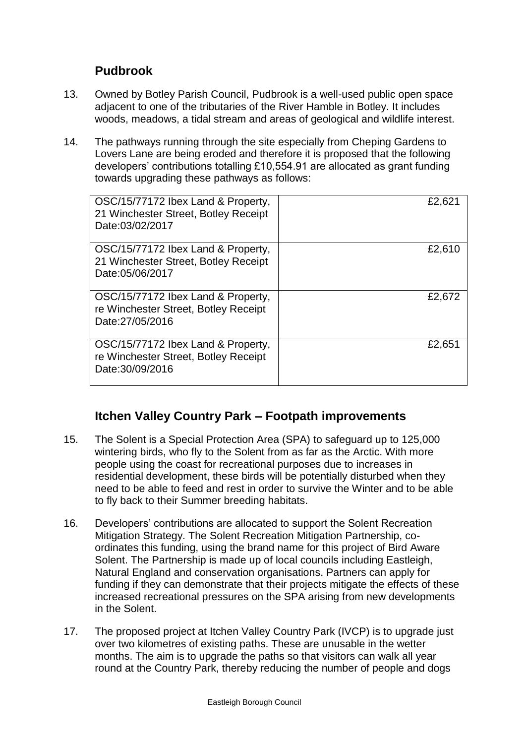## **Pudbrook**

- 13. Owned by Botley Parish Council, Pudbrook is a well-used public open space adjacent to one of the tributaries of the River Hamble in Botley. It includes woods, meadows, a tidal stream and areas of geological and wildlife interest.
- 14. The pathways running through the site especially from Cheping Gardens to Lovers Lane are being eroded and therefore it is proposed that the following developers' contributions totalling £10,554.91 are allocated as grant funding towards upgrading these pathways as follows:

| OSC/15/77172 Ibex Land & Property,<br>21 Winchester Street, Botley Receipt<br>Date:03/02/2017 | £2,621 |
|-----------------------------------------------------------------------------------------------|--------|
| OSC/15/77172 Ibex Land & Property,<br>21 Winchester Street, Botley Receipt<br>Date:05/06/2017 | £2,610 |
| OSC/15/77172 Ibex Land & Property,<br>re Winchester Street, Botley Receipt<br>Date:27/05/2016 | £2,672 |
| OSC/15/77172 Ibex Land & Property,<br>re Winchester Street, Botley Receipt<br>Date:30/09/2016 | £2,651 |

## **Itchen Valley Country Park – Footpath improvements**

- 15. The Solent is a Special Protection Area (SPA) to safeguard up to 125,000 wintering birds, who fly to the Solent from as far as the Arctic. With more people using the coast for recreational purposes due to increases in residential development, these birds will be potentially disturbed when they need to be able to feed and rest in order to survive the Winter and to be able to fly back to their Summer breeding habitats.
- 16. Developers' contributions are allocated to support the Solent Recreation Mitigation Strategy. The Solent Recreation Mitigation Partnership, coordinates this funding, using the brand name for this project of Bird Aware Solent. The Partnership is made up of local councils including Eastleigh, Natural England and conservation organisations. Partners can apply for funding if they can demonstrate that their projects mitigate the effects of these increased recreational pressures on the SPA arising from new developments in the Solent.
- 17. The proposed project at Itchen Valley Country Park (IVCP) is to upgrade just over two kilometres of existing paths. These are unusable in the wetter months. The aim is to upgrade the paths so that visitors can walk all year round at the Country Park, thereby reducing the number of people and dogs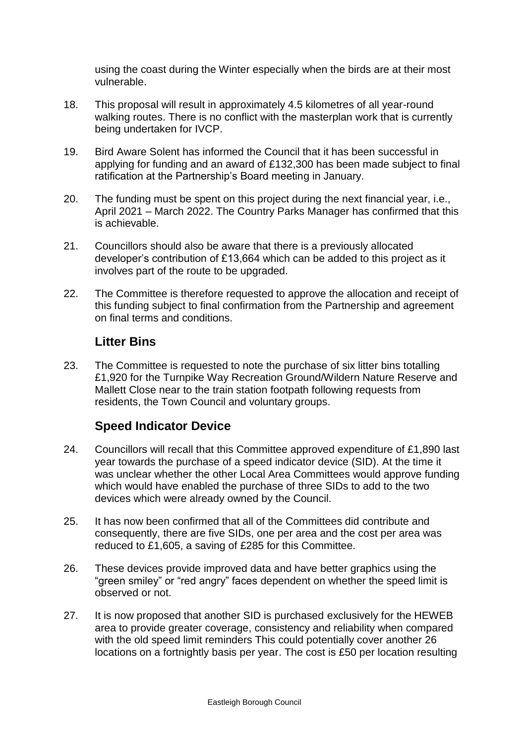using the coast during the Winter especially when the birds are at their most vulnerable.

- 18. This proposal will result in approximately 4.5 kilometres of all year-round walking routes. There is no conflict with the masterplan work that is currently being undertaken for IVCP.
- 19. Bird Aware Solent has informed the Council that it has been successful in applying for funding and an award of £132,300 has been made subject to final ratification at the Partnership's Board meeting in January.
- 20. The funding must be spent on this project during the next financial year, i.e., April 2021 – March 2022. The Country Parks Manager has confirmed that this is achievable.
- 21. Councillors should also be aware that there is a previously allocated developer's contribution of £13,664 which can be added to this project as it involves part of the route to be upgraded.
- 22. The Committee is therefore requested to approve the allocation and receipt of this funding subject to final confirmation from the Partnership and agreement on final terms and conditions.

## **Litter Bins**

23. The Committee is requested to note the purchase of six litter bins totalling £1,920 for the Turnpike Way Recreation Ground/Wildern Nature Reserve and Mallett Close near to the train station footpath following requests from residents, the Town Council and voluntary groups.

## **Speed Indicator Device**

- 24. Councillors will recall that this Committee approved expenditure of £1,890 last year towards the purchase of a speed indicator device (SID). At the time it was unclear whether the other Local Area Committees would approve funding which would have enabled the purchase of three SIDs to add to the two devices which were already owned by the Council.
- 25. It has now been confirmed that all of the Committees did contribute and consequently, there are five SIDs, one per area and the cost per area was reduced to £1,605, a saving of £285 for this Committee.
- 26. These devices provide improved data and have better graphics using the "green smiley" or "red angry" faces dependent on whether the speed limit is observed or not.
- 27. It is now proposed that another SID is purchased exclusively for the HEWEB area to provide greater coverage, consistency and reliability when compared with the old speed limit reminders This could potentially cover another 26 locations on a fortnightly basis per year. The cost is £50 per location resulting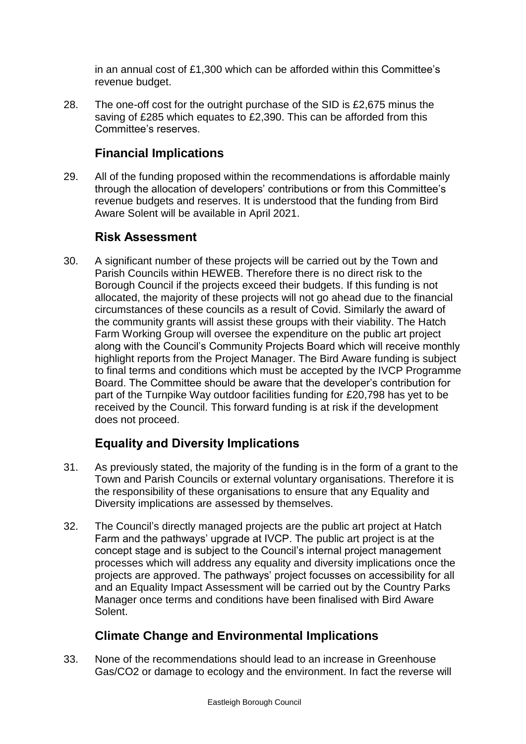in an annual cost of £1,300 which can be afforded within this Committee's revenue budget.

28. The one-off cost for the outright purchase of the SID is £2,675 minus the saving of £285 which equates to £2,390. This can be afforded from this Committee's reserves.

## **Financial Implications**

29. All of the funding proposed within the recommendations is affordable mainly through the allocation of developers' contributions or from this Committee's revenue budgets and reserves. It is understood that the funding from Bird Aware Solent will be available in April 2021.

## **Risk Assessment**

30. A significant number of these projects will be carried out by the Town and Parish Councils within HEWEB. Therefore there is no direct risk to the Borough Council if the projects exceed their budgets. If this funding is not allocated, the majority of these projects will not go ahead due to the financial circumstances of these councils as a result of Covid. Similarly the award of the community grants will assist these groups with their viability. The Hatch Farm Working Group will oversee the expenditure on the public art project along with the Council's Community Projects Board which will receive monthly highlight reports from the Project Manager. The Bird Aware funding is subject to final terms and conditions which must be accepted by the IVCP Programme Board. The Committee should be aware that the developer's contribution for part of the Turnpike Way outdoor facilities funding for £20,798 has yet to be received by the Council. This forward funding is at risk if the development does not proceed.

# **Equality and Diversity Implications**

- 31. As previously stated, the majority of the funding is in the form of a grant to the Town and Parish Councils or external voluntary organisations. Therefore it is the responsibility of these organisations to ensure that any Equality and Diversity implications are assessed by themselves.
- 32. The Council's directly managed projects are the public art project at Hatch Farm and the pathways' upgrade at IVCP. The public art project is at the concept stage and is subject to the Council's internal project management processes which will address any equality and diversity implications once the projects are approved. The pathways' project focusses on accessibility for all and an Equality Impact Assessment will be carried out by the Country Parks Manager once terms and conditions have been finalised with Bird Aware Solent.

# **Climate Change and Environmental Implications**

33. None of the recommendations should lead to an increase in Greenhouse Gas/CO2 or damage to ecology and the environment. In fact the reverse will